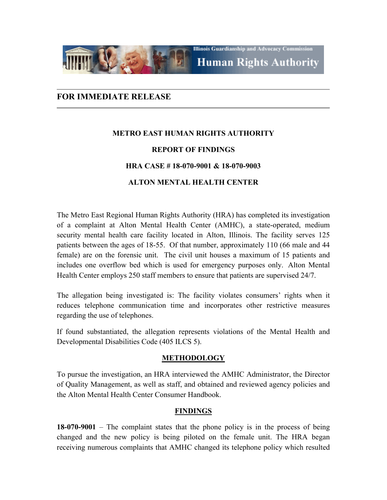

# **FOR IMMEDIATE RELEASE**

# **METRO EAST HUMAN RIGHTS AUTHORITY REPORT OF FINDINGS HRA CASE # 18-070-9001 & 18-070-9003 ALTON MENTAL HEALTH CENTER**

The Metro East Regional Human Rights Authority (HRA) has completed its investigation of a complaint at Alton Mental Health Center (AMHC), a state-operated, medium security mental health care facility located in Alton, Illinois. The facility serves 125 patients between the ages of 18-55. Of that number, approximately 110 (66 male and 44 female) are on the forensic unit. The civil unit houses a maximum of 15 patients and includes one overflow bed which is used for emergency purposes only. Alton Mental Health Center employs 250 staff members to ensure that patients are supervised 24/7.

The allegation being investigated is: The facility violates consumers' rights when it reduces telephone communication time and incorporates other restrictive measures regarding the use of telephones.

If found substantiated, the allegation represents violations of the Mental Health and Developmental Disabilities Code (405 ILCS 5).

#### **METHODOLOGY**

To pursue the investigation, an HRA interviewed the AMHC Administrator, the Director of Quality Management, as well as staff, and obtained and reviewed agency policies and the Alton Mental Health Center Consumer Handbook.

### **FINDINGS**

**18-070-9001** – The complaint states that the phone policy is in the process of being changed and the new policy is being piloted on the female unit. The HRA began receiving numerous complaints that AMHC changed its telephone policy which resulted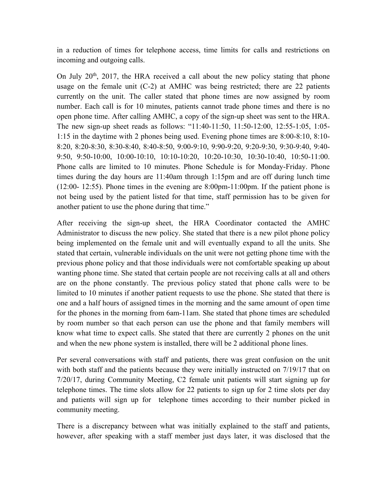in a reduction of times for telephone access, time limits for calls and restrictions on incoming and outgoing calls.

On July 20th, 2017, the HRA received a call about the new policy stating that phone usage on the female unit (C-2) at AMHC was being restricted; there are 22 patients currently on the unit. The caller stated that phone times are now assigned by room number. Each call is for 10 minutes, patients cannot trade phone times and there is no open phone time. After calling AMHC, a copy of the sign-up sheet was sent to the HRA. The new sign-up sheet reads as follows: "11:40-11:50, 11:50-12:00, 12:55-1:05, 1:05- 1:15 in the daytime with 2 phones being used. Evening phone times are 8:00-8:10, 8:10- 8:20, 8:20-8:30, 8:30-8:40, 8:40-8:50, 9:00-9:10, 9:90-9:20, 9:20-9:30, 9:30-9:40, 9:40- 9:50, 9:50-10:00, 10:00-10:10, 10:10-10:20, 10:20-10:30, 10:30-10:40, 10:50-11:00. Phone calls are limited to 10 minutes. Phone Schedule is for Monday-Friday. Phone times during the day hours are 11:40am through 1:15pm and are off during lunch time (12:00- 12:55). Phone times in the evening are 8:00pm-11:00pm. If the patient phone is not being used by the patient listed for that time, staff permission has to be given for another patient to use the phone during that time."

After receiving the sign-up sheet, the HRA Coordinator contacted the AMHC Administrator to discuss the new policy. She stated that there is a new pilot phone policy being implemented on the female unit and will eventually expand to all the units. She stated that certain, vulnerable individuals on the unit were not getting phone time with the previous phone policy and that those individuals were not comfortable speaking up about wanting phone time. She stated that certain people are not receiving calls at all and others are on the phone constantly. The previous policy stated that phone calls were to be limited to 10 minutes if another patient requests to use the phone. She stated that there is one and a half hours of assigned times in the morning and the same amount of open time for the phones in the morning from 6am-11am. She stated that phone times are scheduled by room number so that each person can use the phone and that family members will know what time to expect calls. She stated that there are currently 2 phones on the unit and when the new phone system is installed, there will be 2 additional phone lines.

Per several conversations with staff and patients, there was great confusion on the unit with both staff and the patients because they were initially instructed on 7/19/17 that on 7/20/17, during Community Meeting, C2 female unit patients will start signing up for telephone times. The time slots allow for 22 patients to sign up for 2 time slots per day and patients will sign up for telephone times according to their number picked in community meeting.

There is a discrepancy between what was initially explained to the staff and patients, however, after speaking with a staff member just days later, it was disclosed that the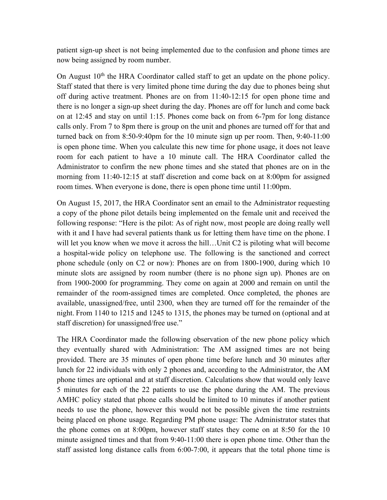patient sign-up sheet is not being implemented due to the confusion and phone times are now being assigned by room number.

On August 10<sup>th</sup> the HRA Coordinator called staff to get an update on the phone policy. Staff stated that there is very limited phone time during the day due to phones being shut off during active treatment. Phones are on from 11:40-12:15 for open phone time and there is no longer a sign-up sheet during the day. Phones are off for lunch and come back on at 12:45 and stay on until 1:15. Phones come back on from 6-7pm for long distance calls only. From 7 to 8pm there is group on the unit and phones are turned off for that and turned back on from 8:50-9:40pm for the 10 minute sign up per room. Then, 9:40-11:00 is open phone time. When you calculate this new time for phone usage, it does not leave room for each patient to have a 10 minute call. The HRA Coordinator called the Administrator to confirm the new phone times and she stated that phones are on in the morning from 11:40-12:15 at staff discretion and come back on at 8:00pm for assigned room times. When everyone is done, there is open phone time until 11:00pm.

On August 15, 2017, the HRA Coordinator sent an email to the Administrator requesting a copy of the phone pilot details being implemented on the female unit and received the following response: "Here is the pilot: As of right now, most people are doing really well with it and I have had several patients thank us for letting them have time on the phone. I will let you know when we move it across the hill...Unit C2 is piloting what will become a hospital-wide policy on telephone use. The following is the sanctioned and correct phone schedule (only on C2 or now): Phones are on from 1800-1900, during which 10 minute slots are assigned by room number (there is no phone sign up). Phones are on from 1900-2000 for programming. They come on again at 2000 and remain on until the remainder of the room-assigned times are completed. Once completed, the phones are available, unassigned/free, until 2300, when they are turned off for the remainder of the night. From 1140 to 1215 and 1245 to 1315, the phones may be turned on (optional and at staff discretion) for unassigned/free use."

The HRA Coordinator made the following observation of the new phone policy which they eventually shared with Administration: The AM assigned times are not being provided. There are 35 minutes of open phone time before lunch and 30 minutes after lunch for 22 individuals with only 2 phones and, according to the Administrator, the AM phone times are optional and at staff discretion. Calculations show that would only leave 5 minutes for each of the 22 patients to use the phone during the AM. The previous AMHC policy stated that phone calls should be limited to 10 minutes if another patient needs to use the phone, however this would not be possible given the time restraints being placed on phone usage. Regarding PM phone usage: The Administrator states that the phone comes on at 8:00pm, however staff states they come on at 8:50 for the 10 minute assigned times and that from 9:40-11:00 there is open phone time. Other than the staff assisted long distance calls from 6:00-7:00, it appears that the total phone time is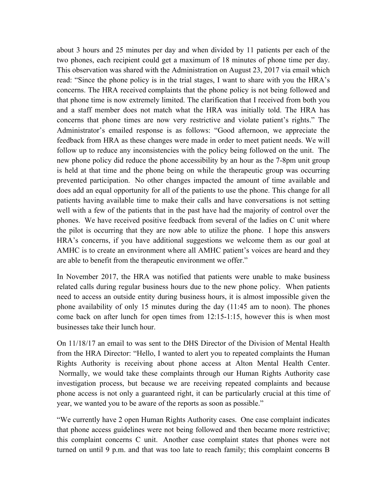about 3 hours and 25 minutes per day and when divided by 11 patients per each of the two phones, each recipient could get a maximum of 18 minutes of phone time per day. This observation was shared with the Administration on August 23, 2017 via email which read: "Since the phone policy is in the trial stages, I want to share with you the HRA's concerns. The HRA received complaints that the phone policy is not being followed and that phone time is now extremely limited. The clarification that I received from both you and a staff member does not match what the HRA was initially told. The HRA has concerns that phone times are now very restrictive and violate patient's rights." The Administrator's emailed response is as follows: "Good afternoon, we appreciate the feedback from HRA as these changes were made in order to meet patient needs. We will follow up to reduce any inconsistencies with the policy being followed on the unit. The new phone policy did reduce the phone accessibility by an hour as the 7-8pm unit group is held at that time and the phone being on while the therapeutic group was occurring prevented participation. No other changes impacted the amount of time available and does add an equal opportunity for all of the patients to use the phone. This change for all patients having available time to make their calls and have conversations is not setting well with a few of the patients that in the past have had the majority of control over the phones. We have received positive feedback from several of the ladies on C unit where the pilot is occurring that they are now able to utilize the phone. I hope this answers HRA's concerns, if you have additional suggestions we welcome them as our goal at AMHC is to create an environment where all AMHC patient's voices are heard and they are able to benefit from the therapeutic environment we offer."

In November 2017, the HRA was notified that patients were unable to make business related calls during regular business hours due to the new phone policy. When patients need to access an outside entity during business hours, it is almost impossible given the phone availability of only 15 minutes during the day (11:45 am to noon). The phones come back on after lunch for open times from 12:15-1:15, however this is when most businesses take their lunch hour.

On 11/18/17 an email to was sent to the DHS Director of the Division of Mental Health from the HRA Director: "Hello, I wanted to alert you to repeated complaints the Human Rights Authority is receiving about phone access at Alton Mental Health Center. Normally, we would take these complaints through our Human Rights Authority case investigation process, but because we are receiving repeated complaints and because phone access is not only a guaranteed right, it can be particularly crucial at this time of year, we wanted you to be aware of the reports as soon as possible."

"We currently have 2 open Human Rights Authority cases. One case complaint indicates that phone access guidelines were not being followed and then became more restrictive; this complaint concerns C unit. Another case complaint states that phones were not turned on until 9 p.m. and that was too late to reach family; this complaint concerns B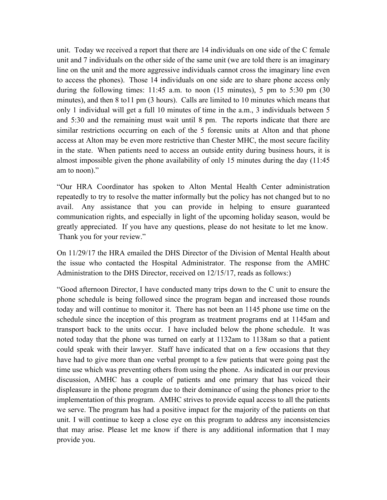unit. Today we received a report that there are 14 individuals on one side of the C female unit and 7 individuals on the other side of the same unit (we are told there is an imaginary line on the unit and the more aggressive individuals cannot cross the imaginary line even to access the phones). Those 14 individuals on one side are to share phone access only during the following times: 11:45 a.m. to noon (15 minutes), 5 pm to 5:30 pm (30 minutes), and then 8 to11 pm (3 hours). Calls are limited to 10 minutes which means that only 1 individual will get a full 10 minutes of time in the a.m., 3 individuals between 5 and 5:30 and the remaining must wait until 8 pm. The reports indicate that there are similar restrictions occurring on each of the 5 forensic units at Alton and that phone access at Alton may be even more restrictive than Chester MHC, the most secure facility in the state. When patients need to access an outside entity during business hours, it is almost impossible given the phone availability of only 15 minutes during the day (11:45 am to noon)."

"Our HRA Coordinator has spoken to Alton Mental Health Center administration repeatedly to try to resolve the matter informally but the policy has not changed but to no avail. Any assistance that you can provide in helping to ensure guaranteed communication rights, and especially in light of the upcoming holiday season, would be greatly appreciated. If you have any questions, please do not hesitate to let me know. Thank you for your review."

On 11/29/17 the HRA emailed the DHS Director of the Division of Mental Health about the issue who contacted the Hospital Administrator. The response from the AMHC Administration to the DHS Director, received on 12/15/17, reads as follows:)

"Good afternoon Director, I have conducted many trips down to the C unit to ensure the phone schedule is being followed since the program began and increased those rounds today and will continue to monitor it. There has not been an 1145 phone use time on the schedule since the inception of this program as treatment programs end at 1145am and transport back to the units occur. I have included below the phone schedule. It was noted today that the phone was turned on early at 1132am to 1138am so that a patient could speak with their lawyer. Staff have indicated that on a few occasions that they have had to give more than one verbal prompt to a few patients that were going past the time use which was preventing others from using the phone. As indicated in our previous discussion, AMHC has a couple of patients and one primary that has voiced their displeasure in the phone program due to their dominance of using the phones prior to the implementation of this program. AMHC strives to provide equal access to all the patients we serve. The program has had a positive impact for the majority of the patients on that unit. I will continue to keep a close eye on this program to address any inconsistencies that may arise. Please let me know if there is any additional information that I may provide you.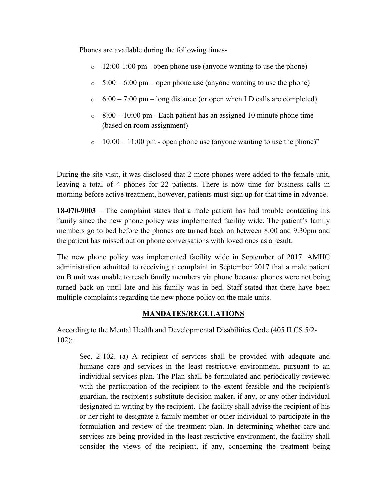Phones are available during the following times-

- $\circ$  12:00-1:00 pm open phone use (anyone wanting to use the phone)
- $\circ$  5:00 6:00 pm open phone use (anyone wanting to use the phone)
- $\circ$  6:00 7:00 pm long distance (or open when LD calls are completed)
- $\degree$  8:00 10:00 pm Each patient has an assigned 10 minute phone time (based on room assignment)
- $\circ$  10:00 11:00 pm open phone use (anyone wanting to use the phone)"

During the site visit, it was disclosed that 2 more phones were added to the female unit, leaving a total of 4 phones for 22 patients. There is now time for business calls in morning before active treatment, however, patients must sign up for that time in advance.

**18-070-9003** – The complaint states that a male patient has had trouble contacting his family since the new phone policy was implemented facility wide. The patient's family members go to bed before the phones are turned back on between 8:00 and 9:30pm and the patient has missed out on phone conversations with loved ones as a result.

The new phone policy was implemented facility wide in September of 2017. AMHC administration admitted to receiving a complaint in September 2017 that a male patient on B unit was unable to reach family members via phone because phones were not being turned back on until late and his family was in bed. Staff stated that there have been multiple complaints regarding the new phone policy on the male units.

### **MANDATES/REGULATIONS**

According to the Mental Health and Developmental Disabilities Code (405 ILCS 5/2- 102):

Sec. 2-102. (a) A recipient of services shall be provided with adequate and humane care and services in the least restrictive environment, pursuant to an individual services plan. The Plan shall be formulated and periodically reviewed with the participation of the recipient to the extent feasible and the recipient's guardian, the recipient's substitute decision maker, if any, or any other individual designated in writing by the recipient. The facility shall advise the recipient of his or her right to designate a family member or other individual to participate in the formulation and review of the treatment plan. In determining whether care and services are being provided in the least restrictive environment, the facility shall consider the views of the recipient, if any, concerning the treatment being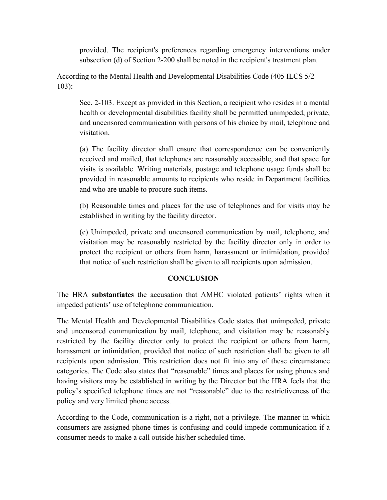provided. The recipient's preferences regarding emergency interventions under subsection (d) of Section 2-200 shall be noted in the recipient's treatment plan.

According to the Mental Health and Developmental Disabilities Code (405 ILCS 5/2- 103):

Sec. 2-103. Except as provided in this Section, a recipient who resides in a mental health or developmental disabilities facility shall be permitted unimpeded, private, and uncensored communication with persons of his choice by mail, telephone and visitation.

(a) The facility director shall ensure that correspondence can be conveniently received and mailed, that telephones are reasonably accessible, and that space for visits is available. Writing materials, postage and telephone usage funds shall be provided in reasonable amounts to recipients who reside in Department facilities and who are unable to procure such items.

(b) Reasonable times and places for the use of telephones and for visits may be established in writing by the facility director.

(c) Unimpeded, private and uncensored communication by mail, telephone, and visitation may be reasonably restricted by the facility director only in order to protect the recipient or others from harm, harassment or intimidation, provided that notice of such restriction shall be given to all recipients upon admission.

### **CONCLUSION**

The HRA **substantiates** the accusation that AMHC violated patients' rights when it impeded patients' use of telephone communication.

The Mental Health and Developmental Disabilities Code states that unimpeded, private and uncensored communication by mail, telephone, and visitation may be reasonably restricted by the facility director only to protect the recipient or others from harm, harassment or intimidation, provided that notice of such restriction shall be given to all recipients upon admission. This restriction does not fit into any of these circumstance categories. The Code also states that "reasonable" times and places for using phones and having visitors may be established in writing by the Director but the HRA feels that the policy's specified telephone times are not "reasonable" due to the restrictiveness of the policy and very limited phone access.

According to the Code, communication is a right, not a privilege. The manner in which consumers are assigned phone times is confusing and could impede communication if a consumer needs to make a call outside his/her scheduled time.